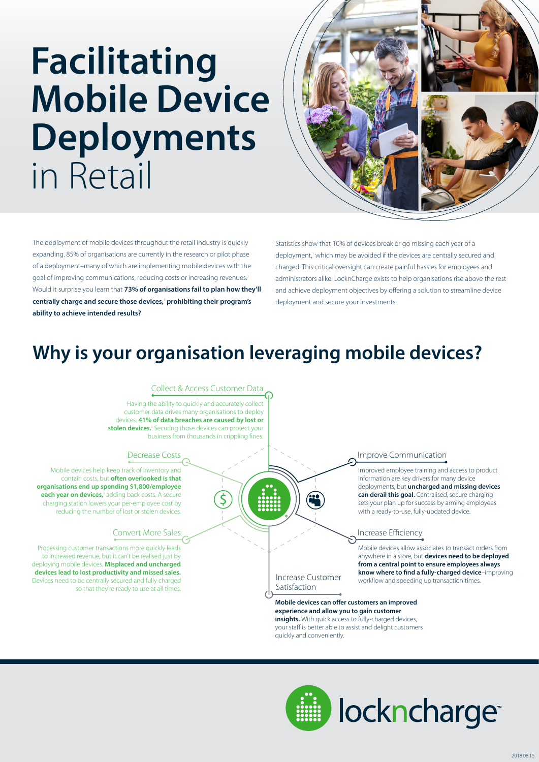# **Facilitating Mobile Device Deployments**  in Retail



The deployment of mobile devices throughout the retail industry is quickly expanding. 85% of organisations are currently in the research or pilot phase of a deployment–many of which are implementing mobile devices with the goal of improving communications, reducing costs or increasing revenues. Would it surprise you learn that **73% of organisations fail to plan how they'll centrally charge and secure those devices,**<sup>1</sup>  **prohibiting their program's ability to achieve intended results?**

Statistics show that 10% of devices break or go missing each year of a deployment,' which may be avoided if the devices are centrally secured and charged. This critical oversight can create painful hassles for employees and administrators alike. LocknCharge exists to help organisations rise above the rest and achieve deployment objectives by offering a solution to streamline device deployment and secure your investments.

## **Why is your organisation leveraging mobile devices?**

#### Collect & Access Customer Data

Having the ability to quickly and accurately collect customer data drives many organisations to deploy devices. **41% of data breaches are caused by lost or stolen devices.**<sup>2</sup> Securing those devices can protect your business from thousands in crippling fines.

#### Decrease Costs

Mobile devices help keep track of inventory and contain costs, but **often overlooked is that organisations end up spending \$1,800/employee**  each year on devices,<sup>3</sup> adding back costs. A secure charging station lowers your per-employee cost by reducing the number of lost or stolen devices.

#### Convert More Sales

Processing customer transactions more quickly leads to increased revenue, but it can't be realised just by deploying mobile devices. **Misplaced and uncharged devices lead to lost productivity and missed sales.**  Devices need to be centrally secured and fully charged so that they're ready to use at all times.

#### Improve Communication

Improved employee training and access to product information are key drivers for many device deployments, but **uncharged and missing devices can derail this goal.** Centralised, secure charging sets your plan up for success by arming employees with a ready-to-use, fully-updated device.

#### Increase Efficiency

Mobile devices allow associates to transact orders from anywhere in a store, but **devices need to be deployed from a central point to ensure employees always know where to find a fully-charged device**–improving workflow and speeding up transaction times.

#### Increase Customer Satisfaction

**Mobile devices can offer customers an improved experience and allow you to gain customer insights.** With quick access to fully-charged devices, your staff is better able to assist and delight customers quickly and conveniently.